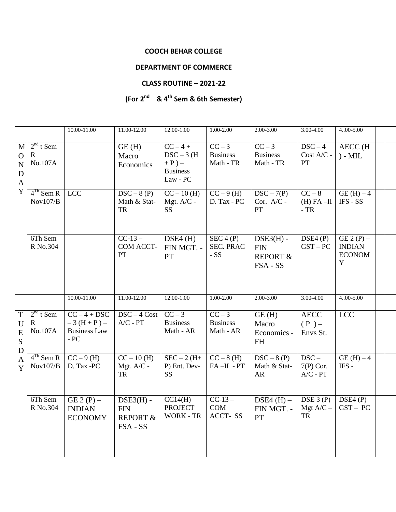## **COOCH BEHAR COLLEGE**

## **DEPARTMENT OF COMMERCE**

## **CLASS ROUTINE – 2021-22**

## **(For 2 nd & 4th Sem & 6th Semester)**

|                                                                      |                                       | 10.00-11.00                                                   | 11.00-12.00                                                  | 12.00-1.00                                                       | 1.00-2.00                              | 2.00-3.00                                                            | 3.00-4.00                              | $4,00 - 5,00$                                      |  |
|----------------------------------------------------------------------|---------------------------------------|---------------------------------------------------------------|--------------------------------------------------------------|------------------------------------------------------------------|----------------------------------------|----------------------------------------------------------------------|----------------------------------------|----------------------------------------------------|--|
| M<br>$\mathbf{O}$<br>$\mathbf N$<br>$\mathbf D$<br>$\mathbf{A}$<br>Y | $2nd$ t Sem<br>$\mathbf R$<br>No.107A |                                                               | GE(H)<br>Macro<br>Economics                                  | $CC-4+$<br>$DSC-3$ (H<br>$+P$ ) –<br><b>Business</b><br>Law - PC | $CC-3$<br><b>Business</b><br>Math - TR | $CC-3$<br><b>Business</b><br>Math - TR                               | $\overline{D}SC-4$<br>Cost A/C -<br>PT | <b>AECC</b> (H<br>$) - MIL$                        |  |
|                                                                      | $4Th$ Sem R<br>Nov107/B               | <b>LCC</b>                                                    | $DSC-8(P)$<br>Math & Stat-<br>TR                             | $CC - 10$ (H)<br>Mgt. A/C -<br><b>SS</b>                         | $CC - 9(H)$<br>D. Tax - PC             | $DSC - 7(P)$<br>Cor. A/C -<br>PT                                     | $CC - 8$<br>$(H) FA - II$<br>$-TR$     | $GE(H) - 4$<br>IFS - SS                            |  |
|                                                                      | 6Th Sem<br>R No.304                   |                                                               | $CC-13-$<br>COM ACCT-<br><b>PT</b>                           | DSE4 $(H)$ –<br>FIN MGT. -<br>PT                                 | SEC 4 (P)<br><b>SEC. PRAC</b><br>$-SS$ | $DSE3(H)$ -<br><b>FIN</b><br><b>REPORT &amp;</b><br>FSA - SS         | DSE4(P)<br>$GST-PC$                    | $GE 2(P)$ –<br><b>INDIAN</b><br><b>ECONOM</b><br>Y |  |
|                                                                      |                                       | 10.00-11.00                                                   | 11.00-12.00                                                  | $12.00 - 1.00$                                                   | $1.00 - 2.00$                          | $2.00 - 3.00$                                                        | $3.00 - 4.00$                          | $4.00 - 5.00$                                      |  |
| $\mathbf T$<br>U<br>${\bf E}$<br>S<br>D<br>$\mathbf{A}$<br>Y         | $2nd$ t Sem<br>$\mathbf R$<br>No.107A | $CC - 4 + DSC$<br>$-3(H+P)$ –<br><b>Business Law</b><br>$-PC$ | $DSC - 4 Cost$<br>$A/C$ - $PT$                               | $CC-3$<br><b>Business</b><br>Math - AR                           | $CC-3$<br><b>Business</b><br>Math - AR | GE(H)<br>Macro<br>Economics -<br><b>FH</b>                           | <b>AECC</b><br>$(P)$ –<br>Envs St.     | <b>LCC</b>                                         |  |
|                                                                      | $4^{Th}$ Sem R<br>Nov107/B            | $CC-9(H)$<br>D. Tax -PC                                       | $CC - 10(H)$<br>Mgt. A/C -<br><b>TR</b>                      | $SEC-2(H+$<br>P) Ent. Dev-<br><b>SS</b>                          | $CC-8(H)$<br>$FA-II - PT$              | $\overline{\text{DSC} - 8 \text{ (P)}}$<br>Math & Stat-<br><b>AR</b> | $DSC -$<br>$7(P)$ Cor.<br>$A/C$ - $PT$ | $GE(H)-4$<br>IFS-                                  |  |
|                                                                      | 6Th Sem<br>R No.304                   | GE $2(P)$ –<br><b>INDIAN</b><br><b>ECONOMY</b>                | $DSE3(H)$ -<br><b>FIN</b><br><b>REPORT &amp;</b><br>FSA - SS | CC14(H)<br><b>PROJECT</b><br><b>WORK - TR</b>                    | $CC-13-$<br>COM<br>ACCT-SS             | DSE4 $(H)$ –<br>FIN MGT. -<br>PT                                     | DSE 3 (P)<br>Mgt $A/C -$<br>${\rm TR}$ | DSE4(P)<br>$GST - PC$                              |  |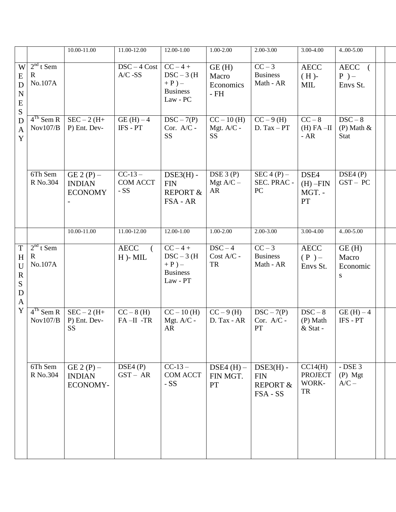|                                                                                |                                       | 10.00-11.00                                    | 11.00-12.00                             | 12.00-1.00                                                          | 1.00-2.00                                | $2.00 - 3.00$                                                | 3.00-4.00                                | 400-5.00                                    |  |
|--------------------------------------------------------------------------------|---------------------------------------|------------------------------------------------|-----------------------------------------|---------------------------------------------------------------------|------------------------------------------|--------------------------------------------------------------|------------------------------------------|---------------------------------------------|--|
| W<br>E<br>D<br>${\bf N}$<br>${\bf E}$<br>S                                     | $2nd$ t Sem<br>$\mathbf R$<br>No.107A |                                                | $DSC - 4Cost$<br>$A/C$ -SS              | $CC - 4 +$<br>$DSC-3$ (H<br>$+P$ ) –<br><b>Business</b><br>Law - PC | GE(H)<br>Macro<br>Economics<br>$-FH$     | $CC-3$<br><b>Business</b><br>Math - AR                       | <b>AECC</b><br>$(H)$ -<br>MIL            | AECC (<br>$P$ ) –<br>Envs St.               |  |
| $\mathbf D$<br>$\overline{A}$<br>Y                                             | $4Th$ Sem R<br>Nov107/B               | $SEC-2(H+$<br>P) Ent. Dev-                     | $GE(H) - 4$<br>IFS - PT                 | $DSC - 7(P)$<br>Cor. A/C -<br><b>SS</b>                             | $CC - 10$ (H)<br>Mgt. A/C -<br><b>SS</b> | $CC - 9(H)$<br>$D. Tax - PT$                                 | $CC - 8$<br>$(H) FA - II$<br>$-AR$       | $DSC - 8$<br>$(P)$ Math $\&$<br><b>Stat</b> |  |
|                                                                                | 6Th Sem<br>R No.304                   | GE $2(P)$ –<br><b>INDIAN</b><br><b>ECONOMY</b> | $CC-13-$<br><b>COM ACCT</b><br>$-SS$    | $DSE3(H)$ -<br><b>FIN</b><br><b>REPORT &amp;</b><br>FSA - AR        | DSE 3 (P)<br>Mgt $A/C -$<br>AR           | $SEC 4 (P) -$<br>SEC. PRAC -<br>PC                           | DSE4<br>$(H)$ -FIN<br>MGT. -<br>PT       | DSE4(P)<br>$GST - PC$                       |  |
|                                                                                |                                       | 10.00-11.00                                    | 11.00-12.00                             | $12.00 - 1.00$                                                      | $1.00 - 2.00$                            | $2.00 - 3.00$                                                | $3.00 - 4.00$                            | $4.00 - 5.00$                               |  |
| $\mathbf T$<br>H<br>U<br>$\mathbf R$<br>${\bf S}$<br>${\bf D}$<br>$\mathbf{A}$ | $2nd$ t Sem<br>$\mathbf R$<br>No.107A |                                                | <b>AECC</b><br>$\left($<br>$H$ )- $MIL$ | $CC - 4 +$<br>$DSC-3$ (H<br>$+P$ ) –<br><b>Business</b><br>Law - PT | $DSC-4$<br>Cost A/C -<br>TR              | $CC-3$<br><b>Business</b><br>Math - AR                       | <b>AECC</b><br>$(P)$ –<br>Envs St.       | GE(H)<br>Macro<br>Economic<br>S             |  |
| Y                                                                              | $4Th$ Sem R<br>Nov107/B               | $SEC-2(H+$<br>P) Ent. Dev-<br><b>SS</b>        | $CC - 8$ (H)<br>$FA-II -TR$             | $CC - 10$ (H)<br>Mgt. A/C -<br>AR                                   | $CC - 9(H)$<br>D. Tax - AR               | $DSC - 7(P)$<br>Cor. A/C -<br>PT                             | $DSC-8$<br>(P) Math<br>& Stat -          | $GE(H)-4$<br>IFS - PT                       |  |
|                                                                                | 6Th Sem<br>R No.304                   | GE $2(P)$ –<br><b>INDIAN</b><br>ECONOMY-       | DSE4(P)<br>$GST - AR$                   | $CC-13-$<br><b>COM ACCT</b><br>$-SS$                                | DSE4 $(H)$ –<br>FIN MGT.<br>PT           | $DSE3(H)$ -<br><b>FIN</b><br><b>REPORT &amp;</b><br>FSA - SS | CC14(H)<br><b>PROJECT</b><br>WORK-<br>TR | $-$ DSE 3<br>$(P)$ Mgt<br>$A/C -$           |  |